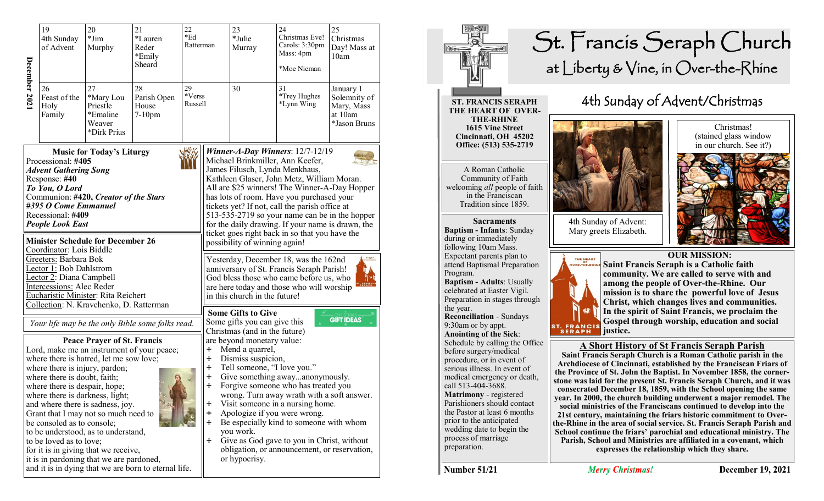|                                                                                                                                                                                                                                                                                                                                                                                                                                                                        | 19<br>4th Sunday<br>of Advent                                                                                                                                    | 20<br>$*Jim$<br>Murphy                                                                                                                                                                               | 21<br>*Lauren<br>Reder<br>*Emily<br>Sheard                                                     | 22<br>*Ed<br>Ratterman  |                                                                                                                                                                                                                                                                                                                                                                                                                                                                                                                                                                                                                                                                                                                 | 23<br>*Julie<br>Murray                                                                                                                                                                           | 24<br>Christmas Eve!<br>Carols: 3:30pm<br>Mass: 4pm<br>*Moe Nieman                                                                                                                                                                  | 25<br>Christmas<br>Day! Mass at<br>10am                            |
|------------------------------------------------------------------------------------------------------------------------------------------------------------------------------------------------------------------------------------------------------------------------------------------------------------------------------------------------------------------------------------------------------------------------------------------------------------------------|------------------------------------------------------------------------------------------------------------------------------------------------------------------|------------------------------------------------------------------------------------------------------------------------------------------------------------------------------------------------------|------------------------------------------------------------------------------------------------|-------------------------|-----------------------------------------------------------------------------------------------------------------------------------------------------------------------------------------------------------------------------------------------------------------------------------------------------------------------------------------------------------------------------------------------------------------------------------------------------------------------------------------------------------------------------------------------------------------------------------------------------------------------------------------------------------------------------------------------------------------|--------------------------------------------------------------------------------------------------------------------------------------------------------------------------------------------------|-------------------------------------------------------------------------------------------------------------------------------------------------------------------------------------------------------------------------------------|--------------------------------------------------------------------|
| December 2021                                                                                                                                                                                                                                                                                                                                                                                                                                                          | 26<br>Feast of the<br>Holy<br>Family                                                                                                                             | 27<br>*Mary Lou<br>Priestle<br>*Emaline<br>Weaver<br>*Dirk Prius                                                                                                                                     | 28<br>Parish Open<br>House<br>$7-10$ pm                                                        | 29<br>*Verss<br>Russell |                                                                                                                                                                                                                                                                                                                                                                                                                                                                                                                                                                                                                                                                                                                 | 30                                                                                                                                                                                               | 31<br>*Trey Hughes<br>*Lynn Wing                                                                                                                                                                                                    | January 1<br>Solemnity of<br>Mary, Mass<br>at 10am<br>*Jason Bruns |
| <b>Music for Today's Liturgy</b><br>Processional: #405<br><b>Advent Gathering Song</b><br>Response: #40<br>To You, O Lord<br>Communion: #420, Creator of the Stars<br>#395 O Come Emmanuel<br>Recessional: #409<br><b>People Look East</b><br><b>Minister Schedule for December 26</b><br>Coordinator: Lois Biddle<br>Greeters: Barbara Bok<br>Lector 1: Bob Dahlstrom<br>Lector 2: Diana Campbell<br>Intercessions: Alec Reder<br>Eucharistic Minister: Rita Reichert |                                                                                                                                                                  |                                                                                                                                                                                                      |                                                                                                |                         | Winner-A-Day Winners: $12/7-12/19$<br>Michael Brinkmiller, Ann Keefer,<br>James Filusch, Lynda Menkhaus,<br>Kathleen Glaser, John Metz, William Moran.<br>All are \$25 winners! The Winner-A-Day Hopper<br>has lots of room. Have you purchased your<br>tickets yet? If not, call the parish office at<br>513-535-2719 so your name can be in the hopper<br>for the daily drawing. If your name is drawn, the<br>ticket goes right back in so that you have the<br>possibility of winning again!<br>Yesterday, December 18, was the 162nd<br>anniversary of St. Francis Seraph Parish!<br>God bless those who came before us, who<br>are here today and those who will worship<br>in this church in the future! |                                                                                                                                                                                                  |                                                                                                                                                                                                                                     |                                                                    |
|                                                                                                                                                                                                                                                                                                                                                                                                                                                                        | where there is injury, pardon;<br>where there is doubt, faith;<br>where there is despair, hope;<br>where there is darkness, light;<br>be consoled as to console; | Collection: N. Kravchenko, D. Ratterman<br><b>Peace Prayer of St. Francis</b><br>where there is hatred, let me sow love;<br>and where there is sadness, joy.<br>Grant that I may not so much need to | Your life may be the only Bible some folks read.<br>Lord, make me an instrument of your peace; |                         | $\ddagger$<br>$\mathbf +$<br>÷<br>+<br>Ŧ<br>٠<br>╈<br>$\ddot{\phantom{1}}$                                                                                                                                                                                                                                                                                                                                                                                                                                                                                                                                                                                                                                      | <b>Some Gifts to Give</b><br>Some gifts you can give this<br>Christmas (and in the future)<br>are beyond monetary value:<br>Mend a quarrel,<br>Dismiss suspicion,<br>Tell someone, "I love you." | Give something awayanonymously.<br>Forgive someone who has treated you<br>wrong. Turn away wrath with a soft answer.<br>Visit someone in a nursing home.<br>Apologize if you were wrong.<br>Be especially kind to someone with whom | <b>GIFT IDEAS</b>                                                  |
|                                                                                                                                                                                                                                                                                                                                                                                                                                                                        | to be loved as to love;                                                                                                                                          | to be understood, as to understand,<br>for it is in giving that we receive,<br>it is in pardoning that we are pardoned,                                                                              | and it is in dying that we are born to eternal life.                                           |                         | ÷                                                                                                                                                                                                                                                                                                                                                                                                                                                                                                                                                                                                                                                                                                               | you work.<br>or hypocrisy.                                                                                                                                                                       | Give as God gave to you in Christ, without<br>obligation, or announcement, or reservation,                                                                                                                                          |                                                                    |



Number 51/21